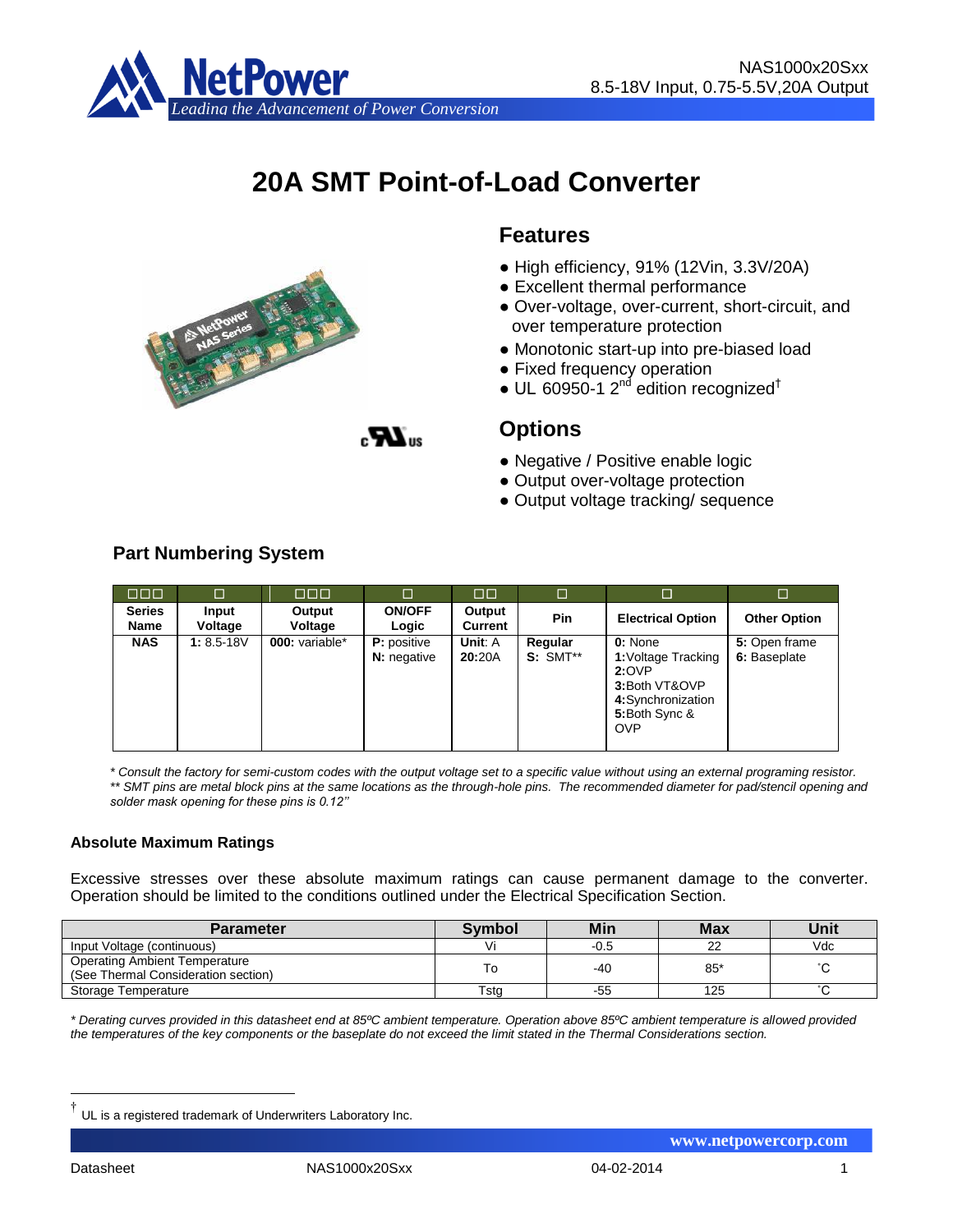

# **20A SMT Point-of-Load Converter**



# **Features**

- High efficiency, 91% (12Vin, 3.3V/20A)
- Excellent thermal performance
- Over-voltage, over-current, short-circuit, and over temperature protection
- Monotonic start-up into pre-biased load
- Fixed frequency operation
- UL 60950-1  $2^{nd}$  edition recognized<sup>†</sup>

 $\boldsymbol{Z}$ 

# **Options**

- Negative / Positive enable logic
- Output over-voltage protection
- Output voltage tracking/ sequence

# **Part Numbering System**

| OOO                          | $\Box$           | 000 L             | $\Box$                                   | $\Box$            | □                          | □                                                                                                            | $\Box$                        |
|------------------------------|------------------|-------------------|------------------------------------------|-------------------|----------------------------|--------------------------------------------------------------------------------------------------------------|-------------------------------|
| <b>Series</b><br><b>Name</b> | Input<br>Voltage | Output<br>Voltage | <b>ON/OFF</b><br>Logic                   | Output<br>Current | <b>Pin</b>                 | <b>Electrical Option</b>                                                                                     | <b>Other Option</b>           |
| <b>NAS</b>                   | $1: 8.5 - 18V$   | 000: variable*    | <b>P:</b> positive<br><b>N:</b> negative | Unit: A<br>20:20A | Regular<br><b>S: SMT**</b> | 0: None<br>1: Voltage Tracking<br>2:OVP<br>3:Both VT&OVP<br>4:Synchronization<br>5:Both Sync &<br><b>OVP</b> | 5: Open frame<br>6: Baseplate |

*\* Consult the factory for semi-custom codes with the output voltage set to a specific value without using an external programing resistor. \*\* SMT pins are metal block pins at the same locations as the through-hole pins. The recommended diameter for pad/stencil opening and solder mask opening for these pins is 0.12''*

#### **Absolute Maximum Ratings**

Excessive stresses over these absolute maximum ratings can cause permanent damage to the converter. Operation should be limited to the conditions outlined under the Electrical Specification Section.

| <b>Parameter</b>                                                            | Svmbol | Min  | <b>Max</b> | Unit                  |
|-----------------------------------------------------------------------------|--------|------|------------|-----------------------|
| Input Voltage (continuous)                                                  |        | -0.5 | nn         | Vdc                   |
| <b>Operating Ambient Temperature</b><br>(See Thermal Consideration section) |        | -40  | 85'        | $\hat{\phantom{a}}$   |
| Storage Temperature                                                         | Tsta   | -55  | 125        | $\tilde{\phantom{a}}$ |

*\* Derating curves provided in this datasheet end at 85ºC ambient temperature. Operation above 85ºC ambient temperature is allowed provided the temperatures of the key components or the baseplate do not exceed the limit stated in the Thermal Considerations section.*

1

Datasheet NAS1000x20Sxx 04-02-2014 1

 **www.netpowercorp.com**

<sup>†</sup> UL is a registered trademark of Underwriters Laboratory Inc.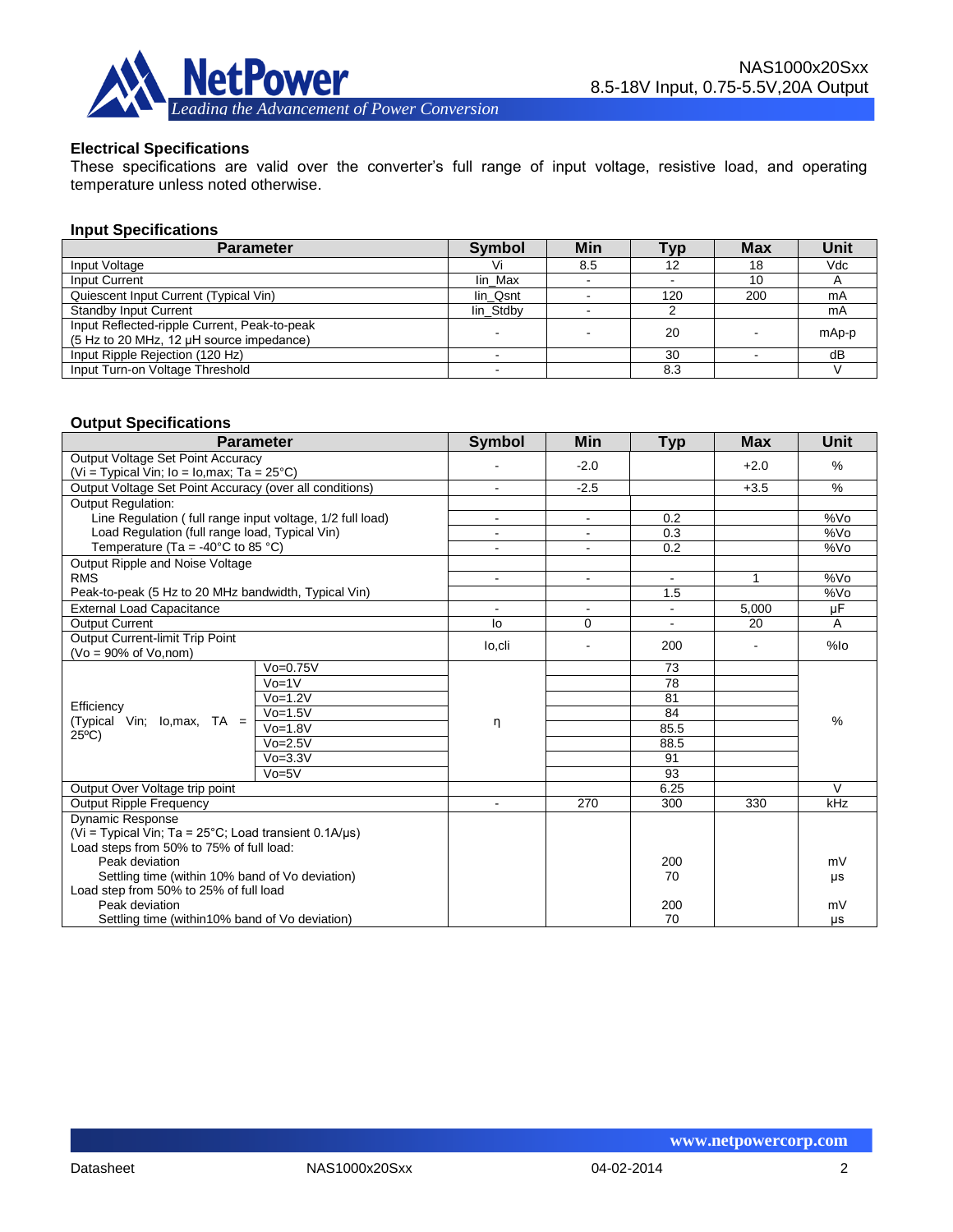

#### **Electrical Specifications**

These specifications are valid over the converter's full range of input voltage, resistive load, and operating temperature unless noted otherwise.

#### **Input Specifications**

| <b>Parameter</b>                                                                         | <b>Symbol</b> | Min | Typ | <b>Max</b> | Unit  |
|------------------------------------------------------------------------------------------|---------------|-----|-----|------------|-------|
| Input Voltage                                                                            |               | 8.5 | 12  | 18         | Vdc   |
| Input Current                                                                            | lin Max       |     |     | 10         |       |
| Quiescent Input Current (Typical Vin)                                                    | lin Qsnt      |     | 120 | 200        | mA    |
| <b>Standby Input Current</b>                                                             | lin Stdby     |     |     |            | mA    |
| Input Reflected-ripple Current, Peak-to-peak<br>(5 Hz to 20 MHz, 12 µH source impedance) |               |     | 20  |            | mAp-p |
| Input Ripple Rejection (120 Hz)                                                          |               |     | 30  |            | dB    |
| Input Turn-on Voltage Threshold                                                          |               |     | 8.3 |            |       |

#### **Output Specifications**

| <b>Parameter</b>                                                |               | <b>Symbol</b>  | Min            | <b>Typ</b>     | <b>Max</b>     | Unit            |
|-----------------------------------------------------------------|---------------|----------------|----------------|----------------|----------------|-----------------|
| Output Voltage Set Point Accuracy                               |               |                | $-2.0$         |                | $+2.0$         | %               |
| (Vi = Typical Vin; $I_0$ = $I_0$ , max; Ta = 25 $^{\circ}$ C)   |               |                |                |                |                |                 |
| Output Voltage Set Point Accuracy (over all conditions)         |               |                | $-2.5$         |                | $+3.5$         | $\%$            |
| <b>Output Regulation:</b>                                       |               |                |                |                |                |                 |
| Line Regulation (full range input voltage, 1/2 full load)       |               |                | $\blacksquare$ | 0.2            |                | %V <sub>O</sub> |
| Load Regulation (full range load, Typical Vin)                  |               |                | $\blacksquare$ | 0.3            |                | %Vo             |
| Temperature (Ta = -40°C to 85 °C)                               |               |                |                | 0.2            |                | %V <sub>O</sub> |
| Output Ripple and Noise Voltage                                 |               |                |                |                |                |                 |
| <b>RMS</b>                                                      |               | $\blacksquare$ | $\blacksquare$ | $\blacksquare$ | 1              | %Vo             |
| Peak-to-peak (5 Hz to 20 MHz bandwidth, Typical Vin)            |               |                |                | 1.5            |                | %Vo             |
| <b>External Load Capacitance</b>                                |               |                |                |                | 5,000          | uF              |
| <b>Output Current</b>                                           |               | lo             | 0              |                | 20             | A               |
| Output Current-limit Trip Point                                 |               | lo,cli         |                | 200            | $\overline{a}$ | %lo             |
| $(Vo = 90\%$ of $Vo$ , nom)                                     |               |                |                |                |                |                 |
|                                                                 | $V_0 = 0.75V$ |                |                | 73             |                | $\%$            |
|                                                                 | $Vo=1V$       |                |                | 78             |                |                 |
| Efficiency                                                      | $V_0 = 1.2V$  | η              |                | 81             |                |                 |
| (Typical Vin; Io, max, TA =                                     | $V_0 = 1.5V$  |                |                | 84             |                |                 |
| $25^{\circ}$ C)                                                 | $Vo=1.8V$     |                |                | 85.5           |                |                 |
|                                                                 | $Vo=2.5V$     |                |                | 88.5           |                |                 |
|                                                                 | $V_0 = 3.3V$  |                |                | 91             |                |                 |
|                                                                 | $Vo=5V$       |                |                | 93             |                |                 |
| Output Over Voltage trip point                                  |               |                |                | 6.25           |                | $\mathcal{U}$   |
| <b>Output Ripple Frequency</b>                                  |               | 270            | 300            | 330            | kHz            |                 |
| <b>Dynamic Response</b>                                         |               |                |                |                |                |                 |
| (Vi = Typical Vin; Ta = $25^{\circ}$ C; Load transient 0.1A/us) |               |                |                |                |                |                 |
| Load steps from 50% to 75% of full load:                        |               |                |                |                |                |                 |
| Peak deviation                                                  |               |                | 200            |                | mV             |                 |
| Settling time (within 10% band of Vo deviation)                 |               |                | 70             |                | μs             |                 |
| Load step from 50% to 25% of full load                          |               |                |                |                |                |                 |
| Peak deviation                                                  |               |                | 200            |                | mV             |                 |
| Settling time (within10% band of Vo deviation)                  |               |                | 70             |                | μs             |                 |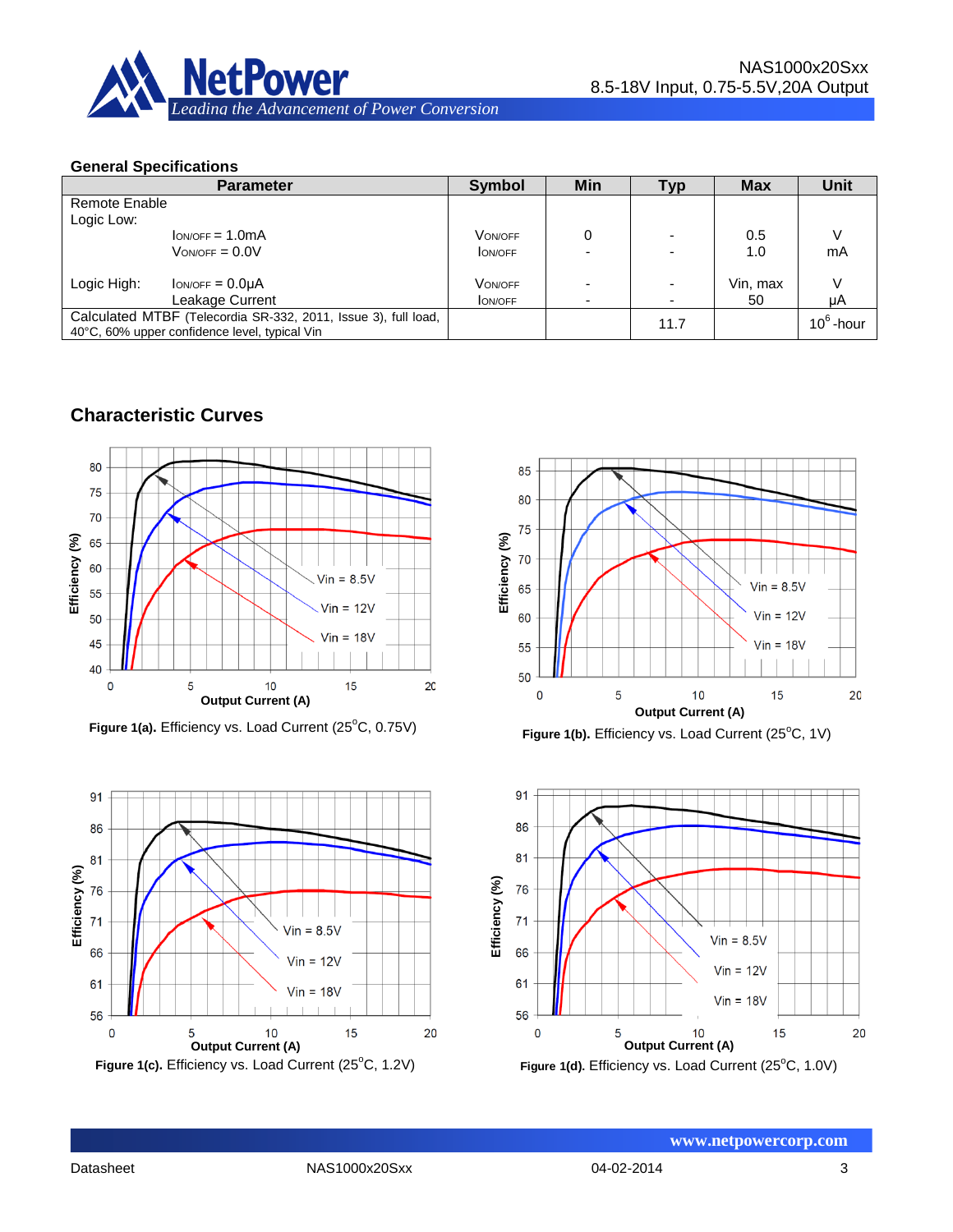

#### **General Specifications**

| <b>Parameter</b>                                                                                                |                     | <b>Symbol</b>  | Min | Typ  | <b>Max</b> | Unit         |
|-----------------------------------------------------------------------------------------------------------------|---------------------|----------------|-----|------|------------|--------------|
| Remote Enable                                                                                                   |                     |                |     |      |            |              |
| Logic Low:                                                                                                      |                     |                |     |      |            |              |
|                                                                                                                 | $low/OFF = 1.0mA$   | <b>VON/OFF</b> | 0   |      | 0.5        |              |
|                                                                                                                 | $V_{ON/OFF} = 0.0V$ | <b>ON/OFF</b>  |     |      | 1.0        | mA           |
|                                                                                                                 |                     |                |     |      |            |              |
| Logic High:                                                                                                     | $low/OFF = 0.0µA$   | <b>VON/OFF</b> |     |      | Vin, max   |              |
|                                                                                                                 | Leakage Current     | <b>ON/OFF</b>  | -   |      | 50         | μA           |
| Calculated MTBF (Telecordia SR-332, 2011, Issue 3), full load,<br>40°C, 60% upper confidence level, typical Vin |                     |                |     | 11.7 |            | $10^6$ -hour |

# **Characteristic Curves**



Figure 1(a). Efficiency vs. Load Current (25°C, 0.75V)







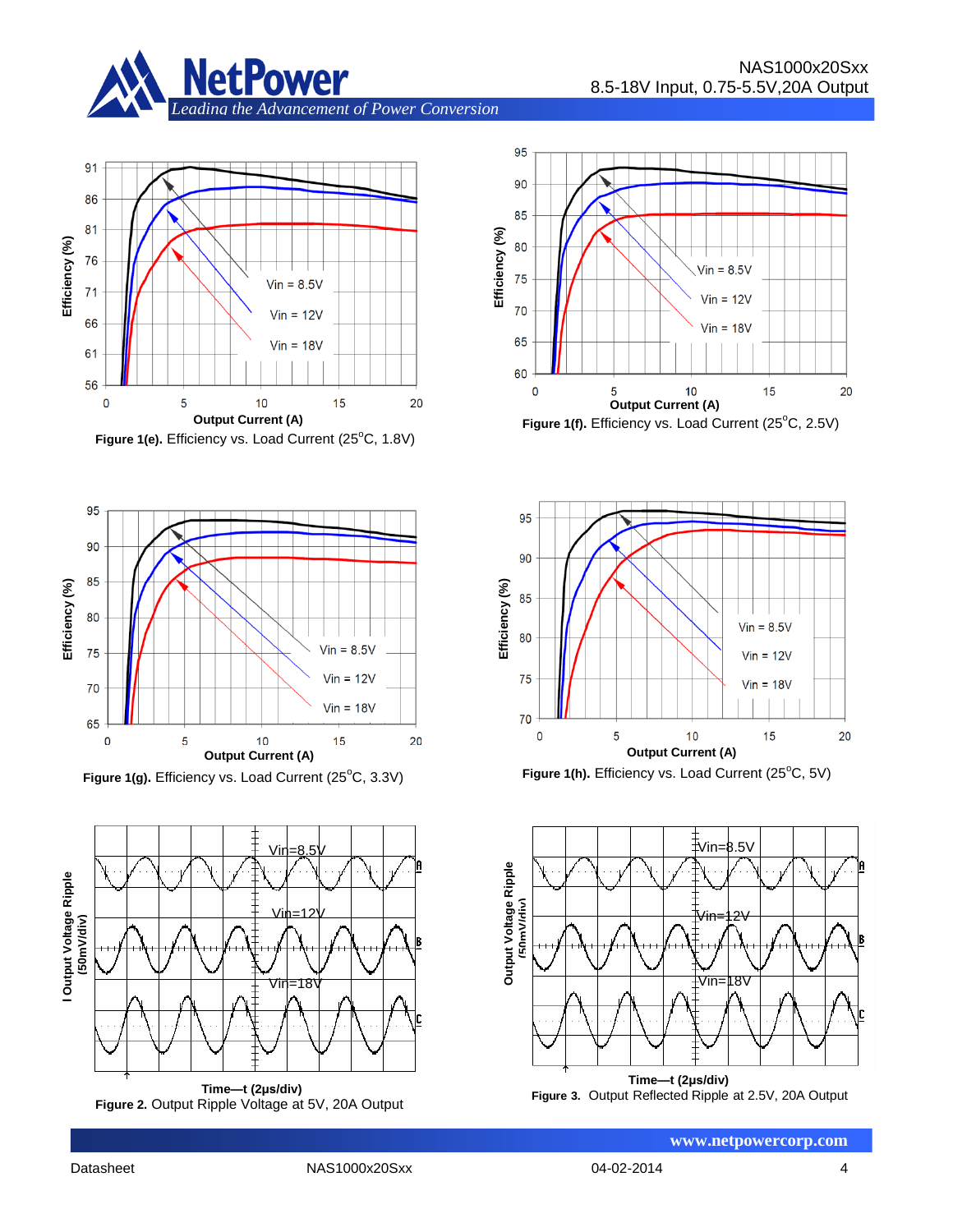



**Figure 1(e).** Efficiency vs. Load Current (25°C, 1.8V)



Figure 1(g). Efficiency vs. Load Current (25°C, 3.3V)











**Efficiency (%)**

Efficiency (%)







 **www.netpowercorp.com**

Datasheet NAS1000x20Sxx 04-02-2014 4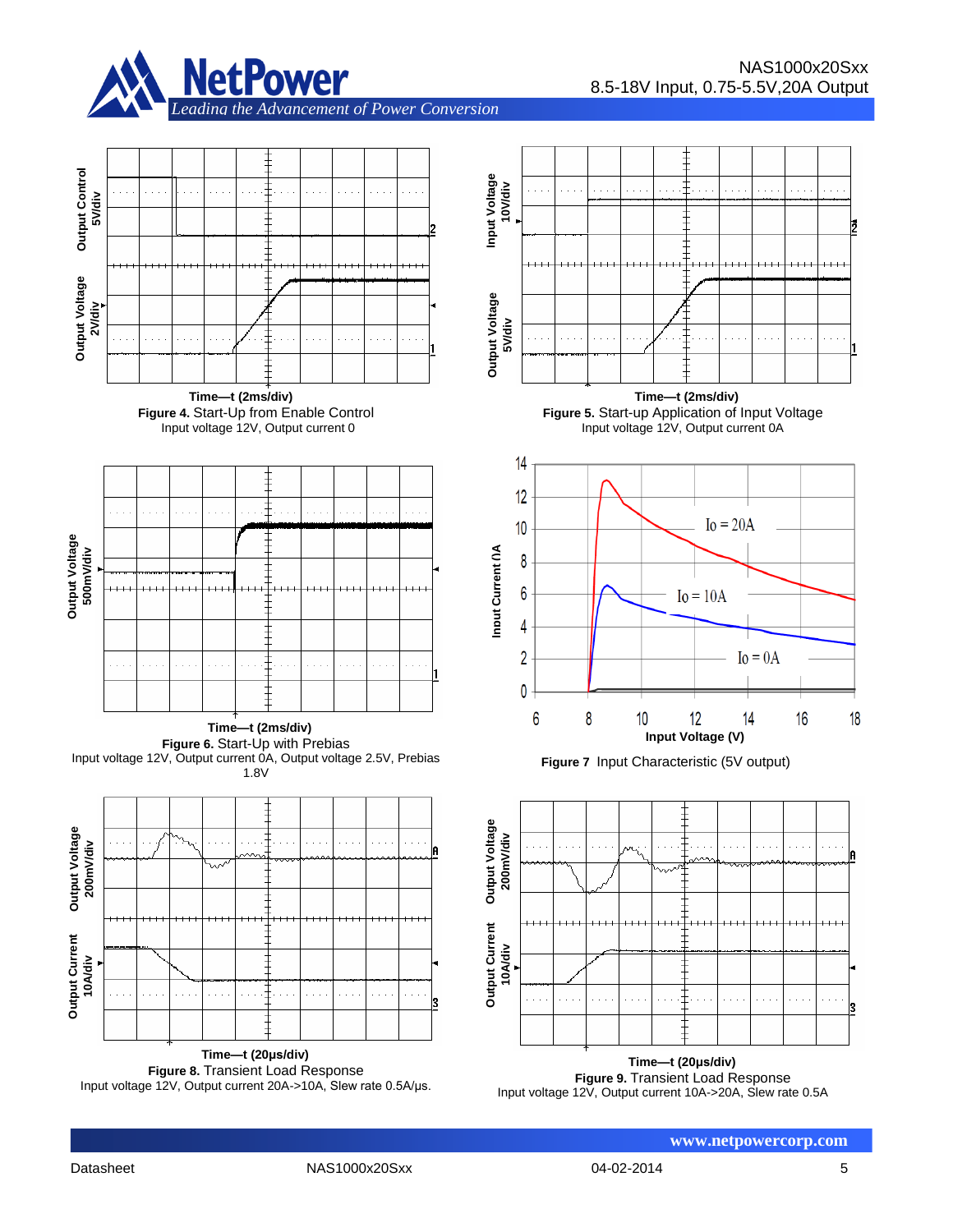





**Time—t (2ms/div) Figure 4.** Start-Up from Enable Control Input voltage 12V, Output current 0



**Time—t (2ms/div)** Figure 6. Start-Up with Prebias Input voltage 12V, Output current 0A, Output voltage 2.5V, Prebias 1.8V







**Time—t (2ms/div) Figure 5.** Start-up Application of Input Voltage Input voltage 12V, Output current 0A







**Figure 9.** Transient Load Response Input voltage 12V, Output current 10A->20A, Slew rate 0.5A

**Output Voltage 2V/div**

Output Voltage

**Output Control 5V/div**

**Output Control** 

 **www.netpowercorp.com**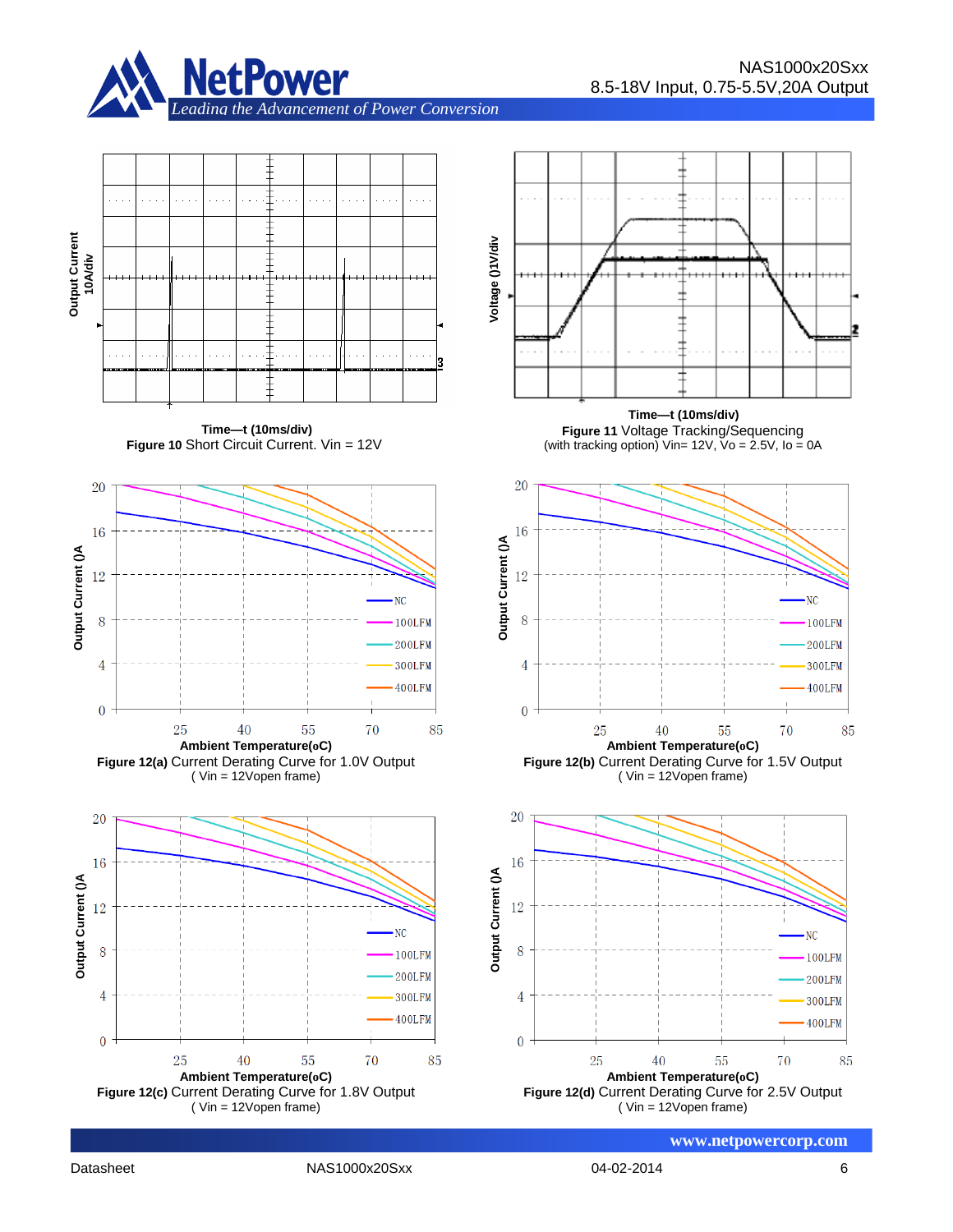

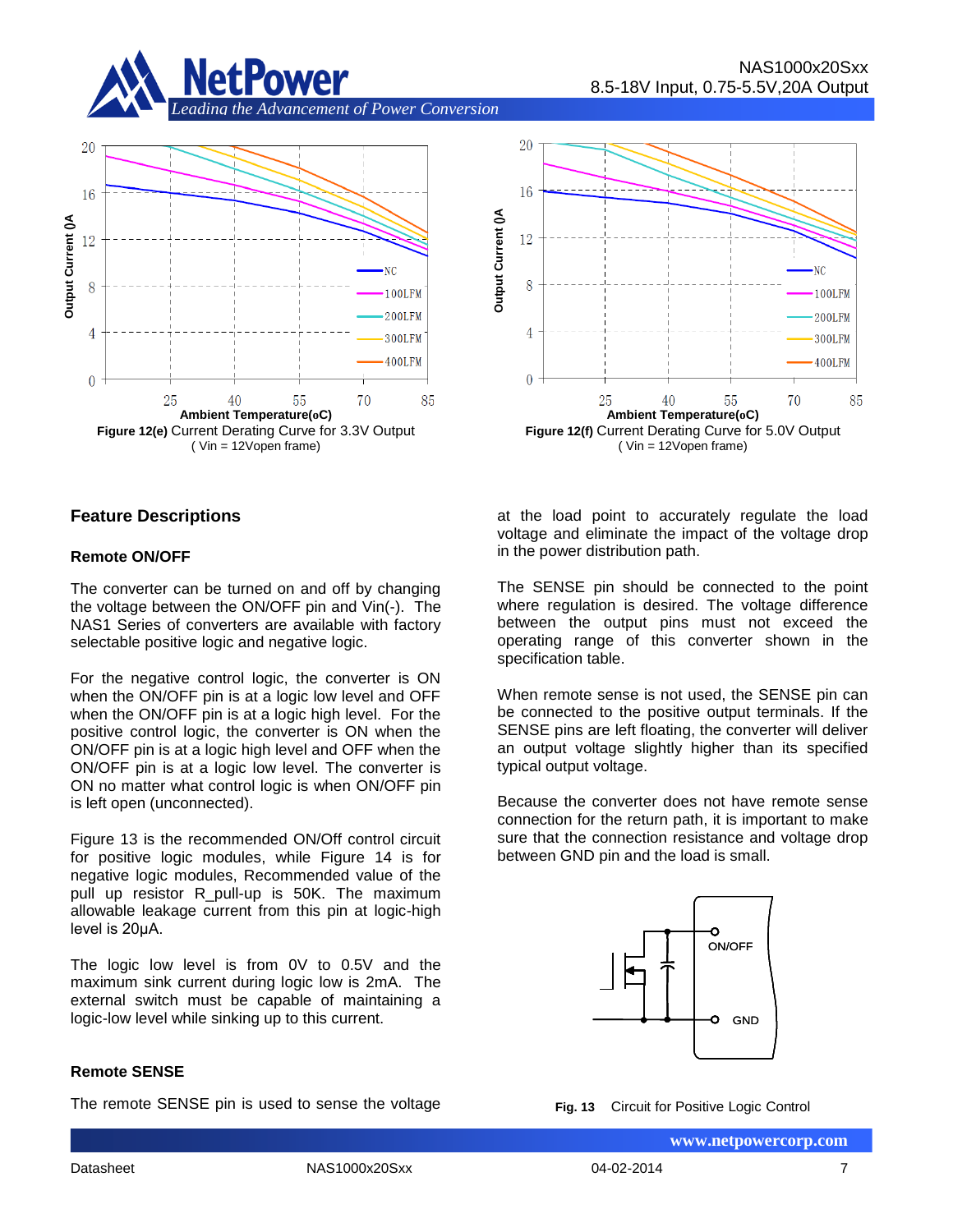





#### **Feature Descriptions**

#### **Remote ON/OFF**

The converter can be turned on and off by changing the voltage between the ON/OFF pin and Vin(-). The NAS1 Series of converters are available with factory selectable positive logic and negative logic.

For the negative control logic, the converter is ON when the ON/OFF pin is at a logic low level and OFF when the ON/OFF pin is at a logic high level. For the positive control logic, the converter is ON when the ON/OFF pin is at a logic high level and OFF when the ON/OFF pin is at a logic low level. The converter is ON no matter what control logic is when ON/OFF pin is left open (unconnected).

Figure 13 is the recommended ON/Off control circuit for positive logic modules, while Figure 14 is for negative logic modules, Recommended value of the pull up resistor R pull-up is 50K. The maximum allowable leakage current from this pin at logic-high level is 20μA.

The logic low level is from 0V to 0.5V and the maximum sink current during logic low is 2mA. The external switch must be capable of maintaining a logic-low level while sinking up to this current.

#### **Remote SENSE**

The remote SENSE pin is used to sense the voltage

at the load point to accurately regulate the load voltage and eliminate the impact of the voltage drop in the power distribution path.

The SENSE pin should be connected to the point where regulation is desired. The voltage difference between the output pins must not exceed the operating range of this converter shown in the specification table.

When remote sense is not used, the SENSE pin can be connected to the positive output terminals. If the SENSE pins are left floating, the converter will deliver an output voltage slightly higher than its specified typical output voltage.

Because the converter does not have remote sense connection for the return path, it is important to make sure that the connection resistance and voltage drop between GND pin and the load is small.



**Fig. 13** Circuit for Positive Logic Control

 **www.netpowercorp.com**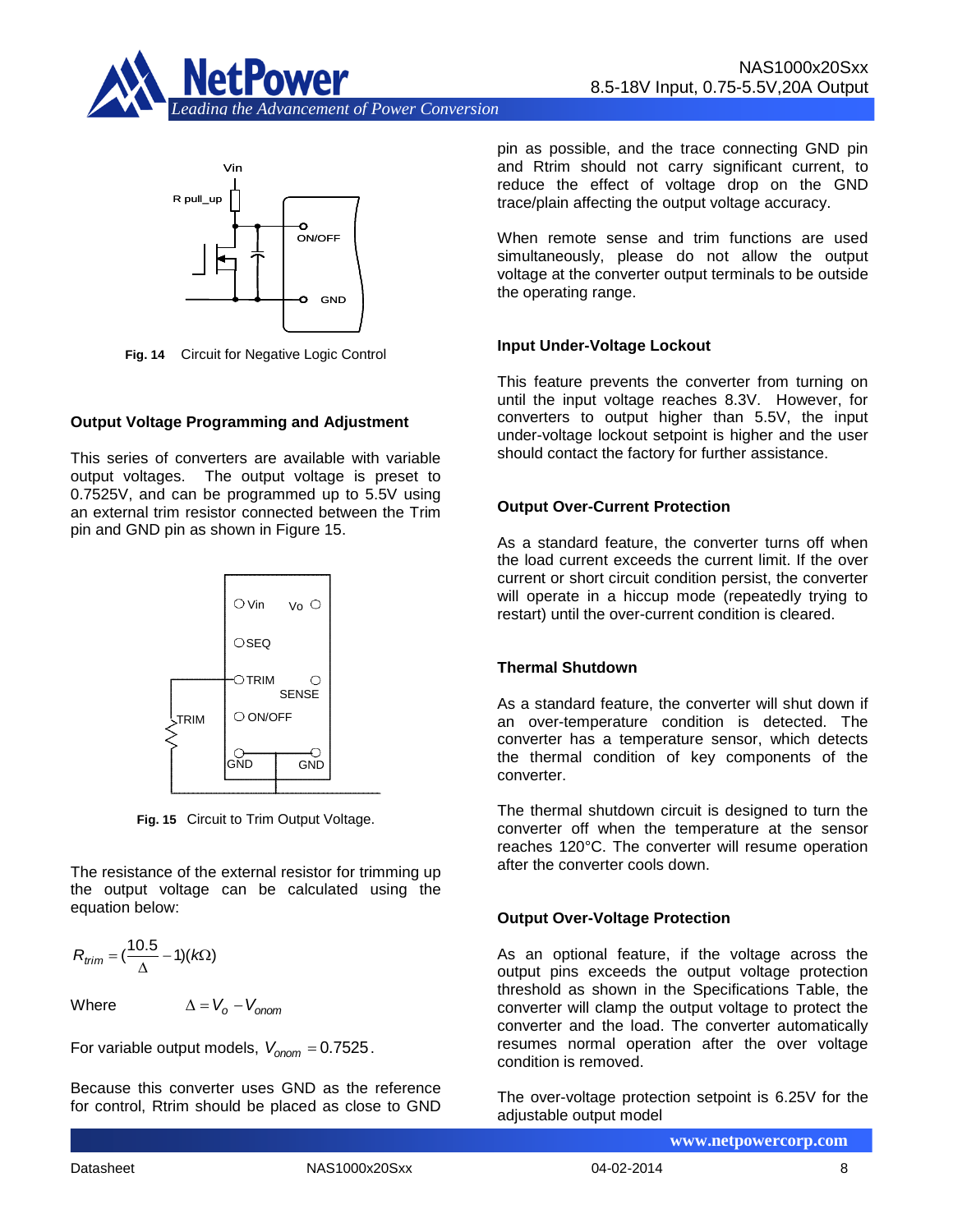



**Fig. 14** Circuit for Negative Logic Control

#### **Output Voltage Programming and Adjustment**

This series of converters are available with variable output voltages. The output voltage is preset to 0.7525V, and can be programmed up to 5.5V using an external trim resistor connected between the Trim pin and GND pin as shown in Figure 15.



**Fig. 15** Circuit to Trim Output Voltage.

The resistance of the external resistor for trimming up the output voltage can be calculated using the equation below:

$$
R_{trim} = (\frac{10.5}{\Delta} - 1)(k\Omega)
$$

Where

 $\Delta = V_o - V_{opon}$ 

For variable output models,  $V_{onom} = 0.7525$ .

Because this converter uses GND as the reference for control, Rtrim should be placed as close to GND pin as possible, and the trace connecting GND pin and Rtrim should not carry significant current, to reduce the effect of voltage drop on the GND trace/plain affecting the output voltage accuracy.

When remote sense and trim functions are used simultaneously, please do not allow the output voltage at the converter output terminals to be outside the operating range.

#### **Input Under-Voltage Lockout**

This feature prevents the converter from turning on until the input voltage reaches 8.3V. However, for converters to output higher than 5.5V, the input under-voltage lockout setpoint is higher and the user should contact the factory for further assistance.

#### **Output Over-Current Protection**

As a standard feature, the converter turns off when the load current exceeds the current limit. If the over current or short circuit condition persist, the converter will operate in a hiccup mode (repeatedly trying to restart) until the over-current condition is cleared.

#### **Thermal Shutdown**

As a standard feature, the converter will shut down if an over-temperature condition is detected. The converter has a temperature sensor, which detects the thermal condition of key components of the converter.

The thermal shutdown circuit is designed to turn the converter off when the temperature at the sensor reaches 120°C. The converter will resume operation after the converter cools down.

#### **Output Over-Voltage Protection**

As an optional feature, if the voltage across the output pins exceeds the output voltage protection threshold as shown in the Specifications Table, the converter will clamp the output voltage to protect the converter and the load. The converter automatically resumes normal operation after the over voltage condition is removed.

The over-voltage protection setpoint is 6.25V for the adjustable output model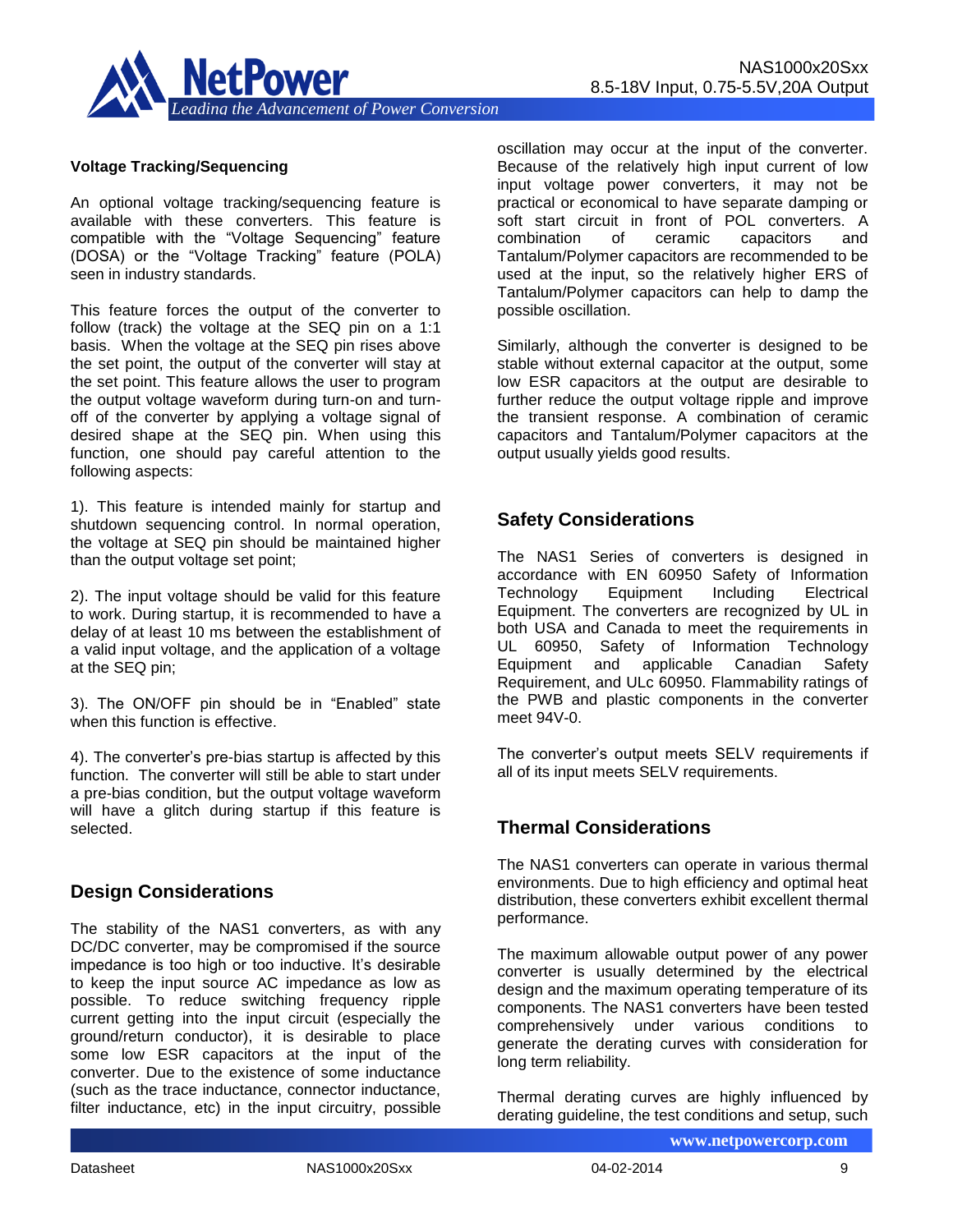

#### **Voltage Tracking/Sequencing**

An optional voltage tracking/sequencing feature is available with these converters. This feature is compatible with the "Voltage Sequencing" feature (DOSA) or the "Voltage Tracking" feature (POLA) seen in industry standards.

This feature forces the output of the converter to follow (track) the voltage at the SEQ pin on a 1:1 basis. When the voltage at the SEQ pin rises above the set point, the output of the converter will stay at the set point. This feature allows the user to program the output voltage waveform during turn-on and turnoff of the converter by applying a voltage signal of desired shape at the SEQ pin. When using this function, one should pay careful attention to the following aspects:

1). This feature is intended mainly for startup and shutdown sequencing control. In normal operation, the voltage at SEQ pin should be maintained higher than the output voltage set point;

2). The input voltage should be valid for this feature to work. During startup, it is recommended to have a delay of at least 10 ms between the establishment of a valid input voltage, and the application of a voltage at the SEQ pin;

3). The ON/OFF pin should be in "Enabled" state when this function is effective.

4). The converter's pre-bias startup is affected by this function. The converter will still be able to start under a pre-bias condition, but the output voltage waveform will have a glitch during startup if this feature is selected.

### **Design Considerations**

The stability of the NAS1 converters, as with any DC/DC converter, may be compromised if the source impedance is too high or too inductive. It's desirable to keep the input source AC impedance as low as possible. To reduce switching frequency ripple current getting into the input circuit (especially the ground/return conductor), it is desirable to place some low ESR capacitors at the input of the converter. Due to the existence of some inductance (such as the trace inductance, connector inductance, filter inductance, etc) in the input circuitry, possible oscillation may occur at the input of the converter. Because of the relatively high input current of low input voltage power converters, it may not be practical or economical to have separate damping or soft start circuit in front of POL converters. A combination of ceramic capacitors and Tantalum/Polymer capacitors are recommended to be used at the input, so the relatively higher ERS of Tantalum/Polymer capacitors can help to damp the possible oscillation.

Similarly, although the converter is designed to be stable without external capacitor at the output, some low ESR capacitors at the output are desirable to further reduce the output voltage ripple and improve the transient response. A combination of ceramic capacitors and Tantalum/Polymer capacitors at the output usually yields good results.

### **Safety Considerations**

The NAS1 Series of converters is designed in accordance with EN 60950 Safety of Information Technology Equipment Including Electrical Equipment. The converters are recognized by UL in both USA and Canada to meet the requirements in UL 60950, Safety of Information Technology Equipment and applicable Canadian Safety Requirement, and ULc 60950. Flammability ratings of the PWB and plastic components in the converter meet 94V-0.

The converter's output meets SELV requirements if all of its input meets SELV requirements.

# **Thermal Considerations**

The NAS1 converters can operate in various thermal environments. Due to high efficiency and optimal heat distribution, these converters exhibit excellent thermal performance.

The maximum allowable output power of any power converter is usually determined by the electrical design and the maximum operating temperature of its components. The NAS1 converters have been tested comprehensively under various conditions to generate the derating curves with consideration for long term reliability.

Thermal derating curves are highly influenced by derating guideline, the test conditions and setup, such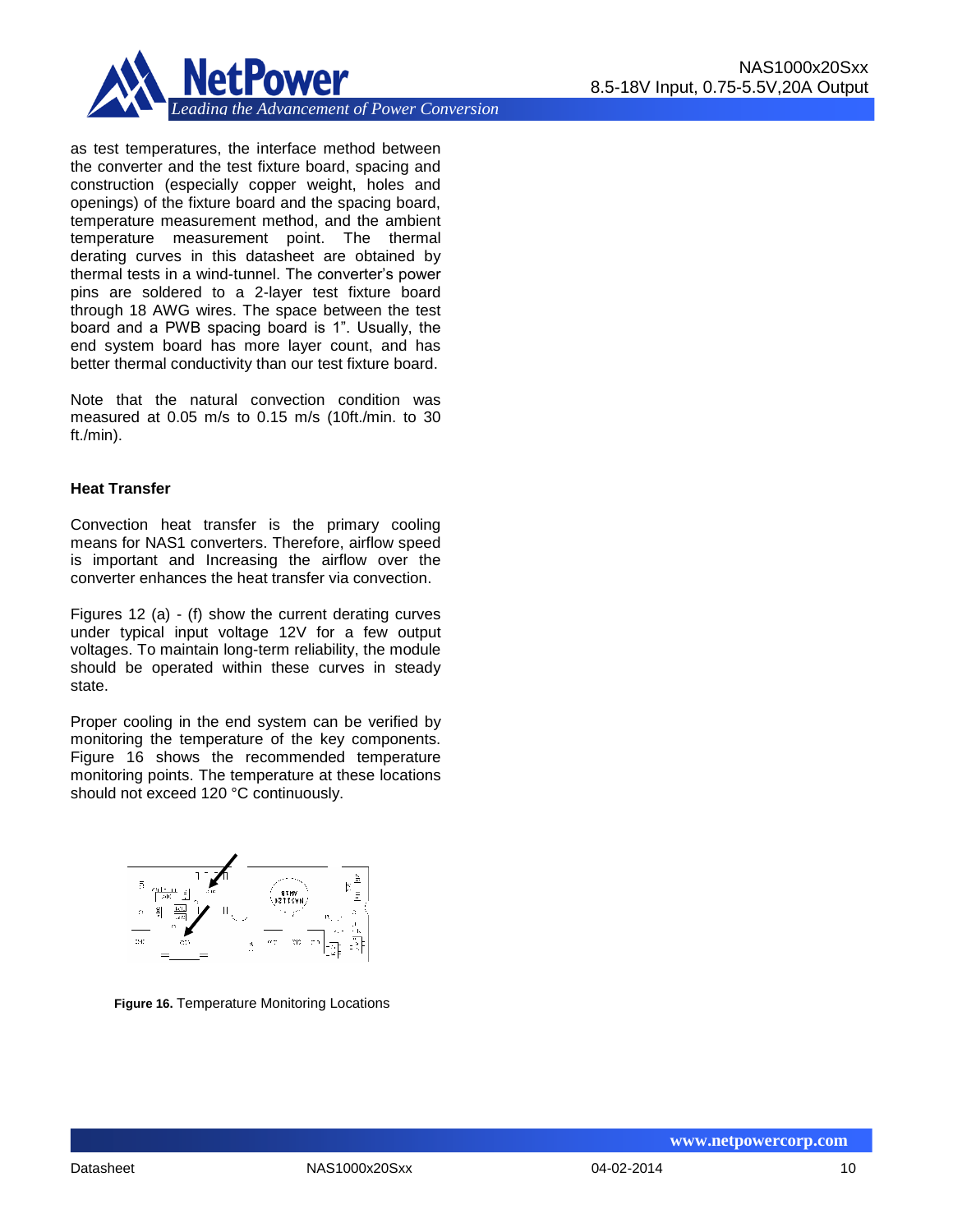

as test temperatures, the interface method between the converter and the test fixture board, spacing and construction (especially copper weight, holes and openings) of the fixture board and the spacing board, temperature measurement method, and the ambient temperature measurement point. The thermal derating curves in this datasheet are obtained by thermal tests in a wind-tunnel. The converter's power pins are soldered to a 2-layer test fixture board through 18 AWG wires. The space between the test board and a PWB spacing board is 1". Usually, the end system board has more layer count, and has better thermal conductivity than our test fixture board.

Note that the natural convection condition was measured at 0.05 m/s to 0.15 m/s (10ft./min. to 30 ft./min).

#### **Heat Transfer**

Convection heat transfer is the primary cooling means for NAS1 converters. Therefore, airflow speed is important and Increasing the airflow over the converter enhances the heat transfer via convection.

Figures 12 (a) - (f) show the current derating curves under typical input voltage 12V for a few output voltages. To maintain long-term reliability, the module should be operated within these curves in steady state.

Proper cooling in the end system can be verified by monitoring the temperature of the key components. Figure 16 shows the recommended temperature monitoring points. The temperature at these locations should not exceed 120 °C continuously.



**Figure 16.** Temperature Monitoring Locations